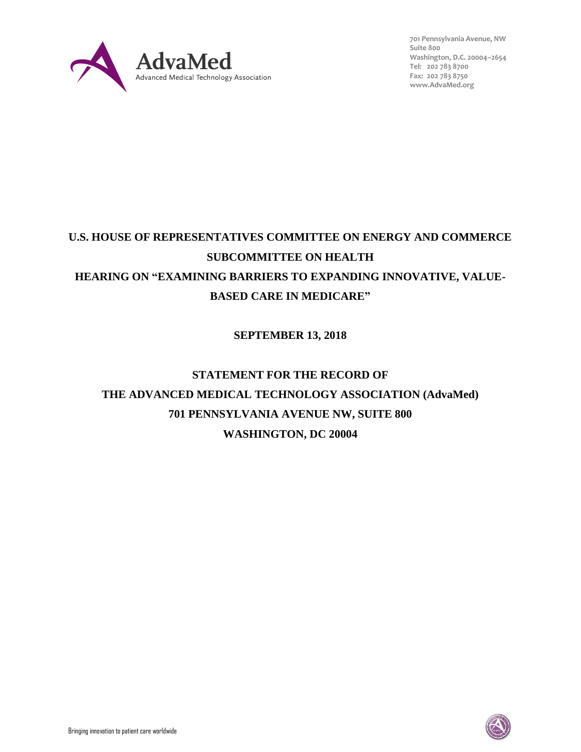

**701 Pennsylvania Avenue, NW Suite 800 Washington, D.C. 20004–2654 Tel: 202 783 8700 Fax: 202 783 8750 [www.AdvaMed.org](http://www.advamed.org/)**

## **U.S. HOUSE OF REPRESENTATIVES COMMITTEE ON ENERGY AND COMMERCE SUBCOMMITTEE ON HEALTH HEARING ON "EXAMINING BARRIERS TO EXPANDING INNOVATIVE, VALUE-BASED CARE IN MEDICARE"**

## **SEPTEMBER 13, 2018**

# **STATEMENT FOR THE RECORD OF THE ADVANCED MEDICAL TECHNOLOGY ASSOCIATION (AdvaMed) 701 PENNSYLVANIA AVENUE NW, SUITE 800 WASHINGTON, DC 20004**

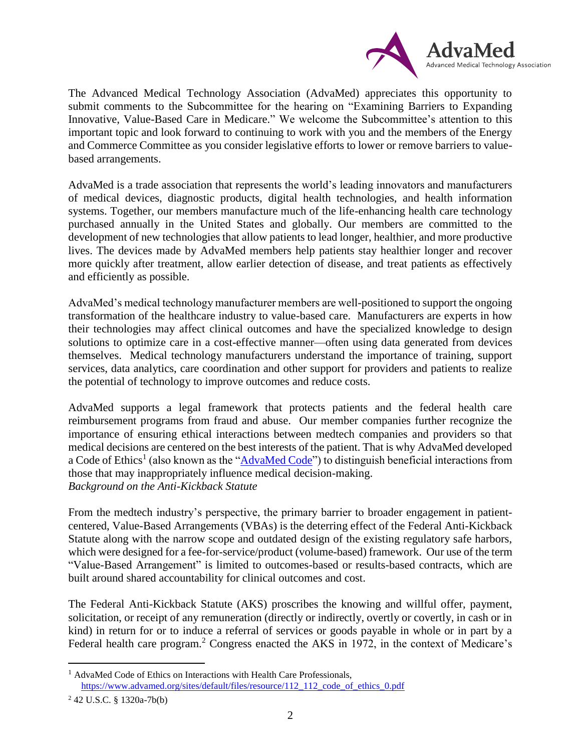

The Advanced Medical Technology Association (AdvaMed) appreciates this opportunity to submit comments to the Subcommittee for the hearing on "Examining Barriers to Expanding Innovative, Value-Based Care in Medicare." We welcome the Subcommittee's attention to this important topic and look forward to continuing to work with you and the members of the Energy and Commerce Committee as you consider legislative efforts to lower or remove barriers to valuebased arrangements.

AdvaMed is a trade association that represents the world's leading innovators and manufacturers of medical devices, diagnostic products, digital health technologies, and health information systems. Together, our members manufacture much of the life-enhancing health care technology purchased annually in the United States and globally. Our members are committed to the development of new technologies that allow patients to lead longer, healthier, and more productive lives. The devices made by AdvaMed members help patients stay healthier longer and recover more quickly after treatment, allow earlier detection of disease, and treat patients as effectively and efficiently as possible.

AdvaMed's medical technology manufacturer members are well-positioned to support the ongoing transformation of the healthcare industry to value-based care. Manufacturers are experts in how their technologies may affect clinical outcomes and have the specialized knowledge to design solutions to optimize care in a cost-effective manner—often using data generated from devices themselves. Medical technology manufacturers understand the importance of training, support services, data analytics, care coordination and other support for providers and patients to realize the potential of technology to improve outcomes and reduce costs.

AdvaMed supports a legal framework that protects patients and the federal health care reimbursement programs from fraud and abuse. Our member companies further recognize the importance of ensuring ethical interactions between medtech companies and providers so that medical decisions are centered on the best interests of the patient. That is why AdvaMed developed a Code of Ethics<sup>1</sup> (also known as the "*AdvaMed Code*") to distinguish beneficial interactions from those that may inappropriately influence medical decision-making. *Background on the Anti-Kickback Statute*

From the medtech industry's perspective, the primary barrier to broader engagement in patientcentered, Value-Based Arrangements (VBAs) is the deterring effect of the Federal Anti-Kickback Statute along with the narrow scope and outdated design of the existing regulatory safe harbors, which were designed for a fee-for-service/product (volume-based) framework. Our use of the term "Value-Based Arrangement" is limited to outcomes-based or results-based contracts, which are built around shared accountability for clinical outcomes and cost.

The Federal Anti-Kickback Statute (AKS) proscribes the knowing and willful offer, payment, solicitation, or receipt of any remuneration (directly or indirectly, overtly or covertly, in cash or in kind) in return for or to induce a referral of services or goods payable in whole or in part by a Federal health care program.<sup>2</sup> Congress enacted the AKS in 1972, in the context of Medicare's

<sup>&</sup>lt;sup>1</sup> AdvaMed Code of Ethics on Interactions with Health Care Professionals, [https://www.advamed.org/sites/default/files/resource/112\\_112\\_code\\_of\\_ethics\\_0.pdf](https://www.advamed.org/sites/default/files/resource/112_112_code_of_ethics_0.pdf)

<sup>2</sup> 42 U.S.C. § 1320a-7b(b)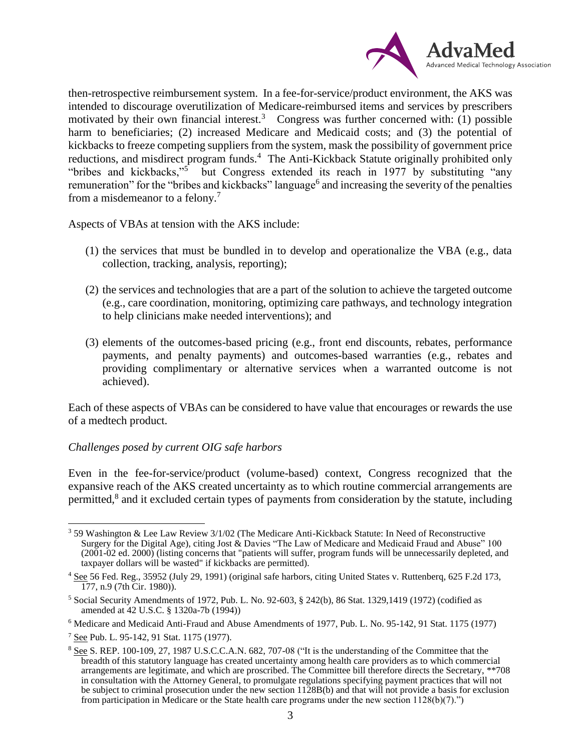

then-retrospective reimbursement system. In a fee-for-service/product environment, the AKS was intended to discourage overutilization of Medicare-reimbursed items and services by prescribers motivated by their own financial interest.<sup>3</sup> Congress was further concerned with: (1) possible harm to beneficiaries; (2) increased Medicare and Medicaid costs; and (3) the potential of kickbacks to freeze competing suppliers from the system, mask the possibility of government price reductions, and misdirect program funds.<sup>4</sup> The Anti-Kickback Statute originally prohibited only "bribes and kickbacks,"<sup>5</sup> but Congress extended its reach in 1977 by substituting "any remuneration" for the "bribes and kickbacks" language<sup>6</sup> and increasing the severity of the penalties from a misdemeanor to a felony.<sup>7</sup>

Aspects of VBAs at tension with the AKS include:

- (1) the services that must be bundled in to develop and operationalize the VBA (e.g., data collection, tracking, analysis, reporting);
- (2) the services and technologies that are a part of the solution to achieve the targeted outcome (e.g., care coordination, monitoring, optimizing care pathways, and technology integration to help clinicians make needed interventions); and
- (3) elements of the outcomes-based pricing (e.g., front end discounts, rebates, performance payments, and penalty payments) and outcomes-based warranties (e.g., rebates and providing complimentary or alternative services when a warranted outcome is not achieved).

Each of these aspects of VBAs can be considered to have value that encourages or rewards the use of a medtech product.

#### *Challenges posed by current OIG safe harbors*

Even in the fee-for-service/product (volume-based) context, Congress recognized that the expansive reach of the AKS created uncertainty as to which routine commercial arrangements are permitted,<sup>8</sup> and it excluded certain types of payments from consideration by the statute, including

<sup>3</sup> 59 Washington & Lee Law Review 3/1/02 (The Medicare Anti-Kickback Statute: In Need of Reconstructive Surgery for the Digital Age), citing Jost & Davies "The Law of Medicare and Medicaid Fraud and Abuse" 100 (2001-02 ed. 2000) (listing concerns that "patients will suffer, program funds will be unnecessarily depleted, and taxpayer dollars will be wasted" if kickbacks are permitted).

<sup>4</sup> See 56 Fed. Reg., 35952 (July 29, 1991) (original safe harbors, citing United States v. Ruttenberq, 625 F.2d 173, 177, n.9 (7th Cir. 1980)).

 $5$  Social Security Amendments of 1972, Pub. L. No. 92-603, § 242(b), 86 Stat. 1329,1419 (1972) (codified as amended at 42 U.S.C. § 1320a-7b (1994))

 $6$  Medicare and Medicaid Anti-Fraud and Abuse Amendments of 1977, Pub. L. No. 95-142, 91 Stat. 1175 (1977)

<sup>7</sup> See Pub. L. 95-142, 91 Stat. 1175 (1977).

<sup>8</sup> See S. REP. 100-109, 27, 1987 U.S.C.C.A.N. 682, 707-08 ("It is the understanding of the Committee that the breadth of this statutory language has created uncertainty among health care providers as to which commercial arrangements are legitimate, and which are proscribed. The Committee bill therefore directs the Secretary, \*\*708 in consultation with the Attorney General, to promulgate regulations specifying payment practices that will not be subject to criminal prosecution under the new section 1128B(b) and that will not provide a basis for exclusion from participation in Medicare or the State health care programs under the new section  $1128(b)(7)$ .")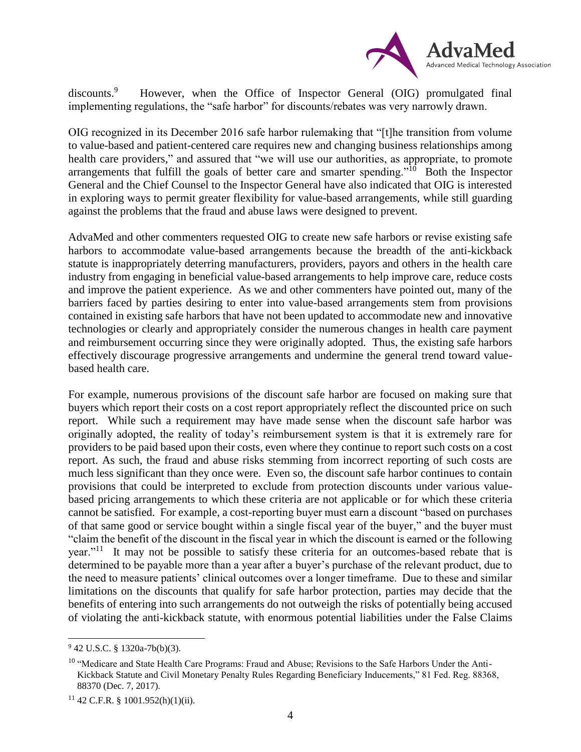

discounts.<sup>9</sup> However, when the Office of Inspector General (OIG) promulgated final implementing regulations, the "safe harbor" for discounts/rebates was very narrowly drawn.

OIG recognized in its December 2016 safe harbor rulemaking that "[t]he transition from volume to value-based and patient-centered care requires new and changing business relationships among health care providers," and assured that "we will use our authorities, as appropriate, to promote arrangements that fulfill the goals of better care and smarter spending."<sup>10</sup> Both the Inspector General and the Chief Counsel to the Inspector General have also indicated that OIG is interested in exploring ways to permit greater flexibility for value-based arrangements, while still guarding against the problems that the fraud and abuse laws were designed to prevent.

AdvaMed and other commenters requested OIG to create new safe harbors or revise existing safe harbors to accommodate value-based arrangements because the breadth of the anti-kickback statute is inappropriately deterring manufacturers, providers, payors and others in the health care industry from engaging in beneficial value-based arrangements to help improve care, reduce costs and improve the patient experience. As we and other commenters have pointed out, many of the barriers faced by parties desiring to enter into value-based arrangements stem from provisions contained in existing safe harbors that have not been updated to accommodate new and innovative technologies or clearly and appropriately consider the numerous changes in health care payment and reimbursement occurring since they were originally adopted. Thus, the existing safe harbors effectively discourage progressive arrangements and undermine the general trend toward valuebased health care.

For example, numerous provisions of the discount safe harbor are focused on making sure that buyers which report their costs on a cost report appropriately reflect the discounted price on such report. While such a requirement may have made sense when the discount safe harbor was originally adopted, the reality of today's reimbursement system is that it is extremely rare for providers to be paid based upon their costs, even where they continue to report such costs on a cost report. As such, the fraud and abuse risks stemming from incorrect reporting of such costs are much less significant than they once were. Even so, the discount safe harbor continues to contain provisions that could be interpreted to exclude from protection discounts under various valuebased pricing arrangements to which these criteria are not applicable or for which these criteria cannot be satisfied. For example, a cost-reporting buyer must earn a discount "based on purchases of that same good or service bought within a single fiscal year of the buyer," and the buyer must "claim the benefit of the discount in the fiscal year in which the discount is earned or the following year."<sup>11</sup> It may not be possible to satisfy these criteria for an outcomes-based rebate that is determined to be payable more than a year after a buyer's purchase of the relevant product, due to the need to measure patients' clinical outcomes over a longer timeframe. Due to these and similar limitations on the discounts that qualify for safe harbor protection, parties may decide that the benefits of entering into such arrangements do not outweigh the risks of potentially being accused of violating the anti-kickback statute, with enormous potential liabilities under the False Claims

<sup>9</sup> 42 U.S.C. § 1320a-7b(b)(3).

<sup>&</sup>lt;sup>10</sup> "Medicare and State Health Care Programs: Fraud and Abuse; Revisions to the Safe Harbors Under the Anti-Kickback Statute and Civil Monetary Penalty Rules Regarding Beneficiary Inducements," 81 Fed. Reg. 88368, 88370 (Dec. 7, 2017).

 $11$  42 C.F.R. § 1001.952(h)(1)(ii).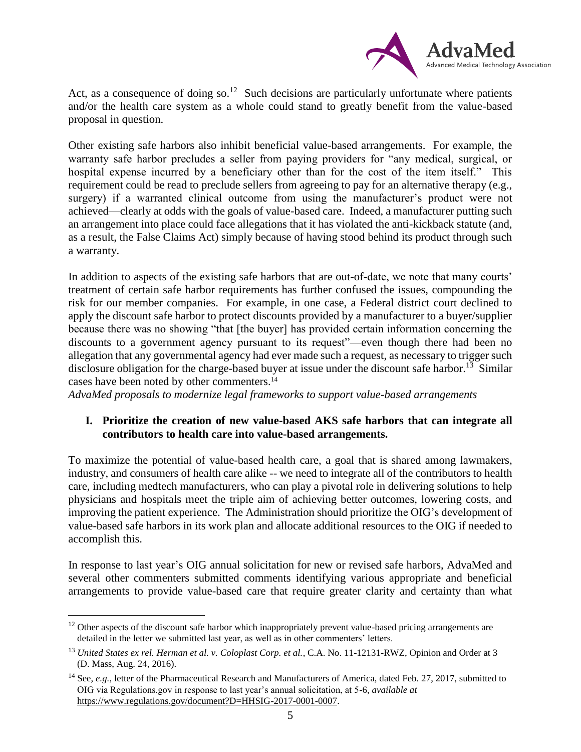

Act, as a consequence of doing so.<sup>12</sup> Such decisions are particularly unfortunate where patients and/or the health care system as a whole could stand to greatly benefit from the value-based proposal in question.

Other existing safe harbors also inhibit beneficial value-based arrangements. For example, the warranty safe harbor precludes a seller from paying providers for "any medical, surgical, or hospital expense incurred by a beneficiary other than for the cost of the item itself." This requirement could be read to preclude sellers from agreeing to pay for an alternative therapy (e.g., surgery) if a warranted clinical outcome from using the manufacturer's product were not achieved—clearly at odds with the goals of value-based care. Indeed, a manufacturer putting such an arrangement into place could face allegations that it has violated the anti-kickback statute (and, as a result, the False Claims Act) simply because of having stood behind its product through such a warranty.

In addition to aspects of the existing safe harbors that are out-of-date, we note that many courts' treatment of certain safe harbor requirements has further confused the issues, compounding the risk for our member companies. For example, in one case, a Federal district court declined to apply the discount safe harbor to protect discounts provided by a manufacturer to a buyer/supplier because there was no showing "that [the buyer] has provided certain information concerning the discounts to a government agency pursuant to its request"—even though there had been no allegation that any governmental agency had ever made such a request, as necessary to trigger such disclosure obligation for the charge-based buyer at issue under the discount safe harbor.<sup>13</sup> Similar cases have been noted by other commenters. 14

*AdvaMed proposals to modernize legal frameworks to support value-based arrangements*

### **I. Prioritize the creation of new value-based AKS safe harbors that can integrate all contributors to health care into value-based arrangements.**

To maximize the potential of value-based health care, a goal that is shared among lawmakers, industry, and consumers of health care alike -- we need to integrate all of the contributors to health care, including medtech manufacturers, who can play a pivotal role in delivering solutions to help physicians and hospitals meet the triple aim of achieving better outcomes, lowering costs, and improving the patient experience. The Administration should prioritize the OIG's development of value-based safe harbors in its work plan and allocate additional resources to the OIG if needed to accomplish this.

In response to last year's OIG annual solicitation for new or revised safe harbors, AdvaMed and several other commenters submitted comments identifying various appropriate and beneficial arrangements to provide value-based care that require greater clarity and certainty than what

<sup>&</sup>lt;sup>12</sup> Other aspects of the discount safe harbor which inappropriately prevent value-based pricing arrangements are detailed in the letter we submitted last year, as well as in other commenters' letters.

<sup>&</sup>lt;sup>13</sup> United States ex rel. Herman et al. v. Coloplast Corp. et al., C.A. No. 11-12131-RWZ, Opinion and Order at 3 (D. Mass, Aug. 24, 2016).

<sup>&</sup>lt;sup>14</sup> See, *e.g.*, letter of the Pharmaceutical Research and Manufacturers of America, dated Feb. 27, 2017, submitted to OIG via Regulations.gov in response to last year's annual solicitation, at 5-6, *available at*  [https://www.regulations.gov/document?D=HHSIG-2017-0001-0007.](https://www.regulations.gov/document?D=HHSIG-2017-0001-0007)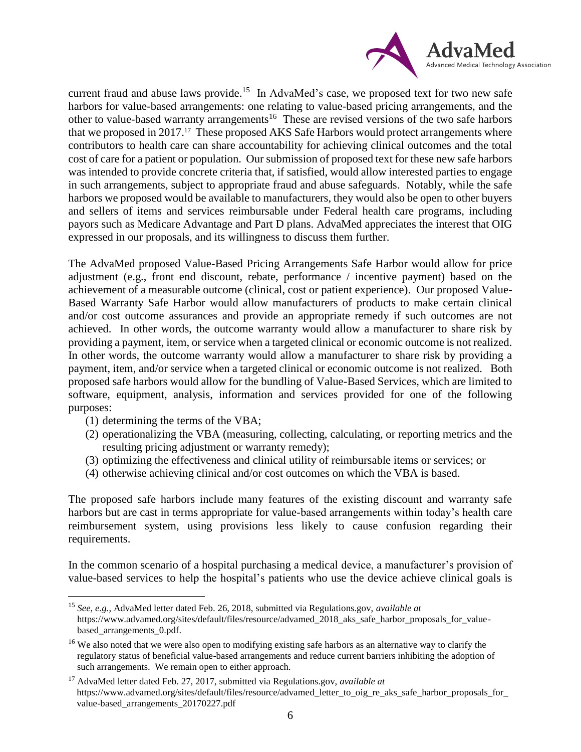

current fraud and abuse laws provide.<sup>15</sup> In AdvaMed's case, we proposed text for two new safe harbors for value-based arrangements: one relating to value-based pricing arrangements, and the other to value-based warranty arrangements<sup>16</sup> These are revised versions of the two safe harbors that we proposed in 2017.<sup>17</sup> These proposed AKS Safe Harbors would protect arrangements where contributors to health care can share accountability for achieving clinical outcomes and the total cost of care for a patient or population. Our submission of proposed text for these new safe harbors was intended to provide concrete criteria that, if satisfied, would allow interested parties to engage in such arrangements, subject to appropriate fraud and abuse safeguards. Notably, while the safe harbors we proposed would be available to manufacturers, they would also be open to other buyers and sellers of items and services reimbursable under Federal health care programs, including payors such as Medicare Advantage and Part D plans. AdvaMed appreciates the interest that OIG expressed in our proposals, and its willingness to discuss them further.

The AdvaMed proposed Value-Based Pricing Arrangements Safe Harbor would allow for price adjustment (e.g., front end discount, rebate, performance / incentive payment) based on the achievement of a measurable outcome (clinical, cost or patient experience). Our proposed Value-Based Warranty Safe Harbor would allow manufacturers of products to make certain clinical and/or cost outcome assurances and provide an appropriate remedy if such outcomes are not achieved. In other words, the outcome warranty would allow a manufacturer to share risk by providing a payment, item, or service when a targeted clinical or economic outcome is not realized. In other words, the outcome warranty would allow a manufacturer to share risk by providing a payment, item, and/or service when a targeted clinical or economic outcome is not realized. Both proposed safe harbors would allow for the bundling of Value-Based Services, which are limited to software, equipment, analysis, information and services provided for one of the following purposes:

(1) determining the terms of the VBA;

 $\overline{a}$ 

- (2) operationalizing the VBA (measuring, collecting, calculating, or reporting metrics and the resulting pricing adjustment or warranty remedy);
- (3) optimizing the effectiveness and clinical utility of reimbursable items or services; or
- (4) otherwise achieving clinical and/or cost outcomes on which the VBA is based.

The proposed safe harbors include many features of the existing discount and warranty safe harbors but are cast in terms appropriate for value-based arrangements within today's health care reimbursement system, using provisions less likely to cause confusion regarding their requirements.

In the common scenario of a hospital purchasing a medical device, a manufacturer's provision of value-based services to help the hospital's patients who use the device achieve clinical goals is

<sup>15</sup> *See, e.g.*, AdvaMed letter dated Feb. 26, 2018, submitted via Regulations.gov, *available at* [https://www.advamed.org/sites/default/files/resource/advamed\\_2018\\_aks\\_safe\\_harbor\\_proposals\\_for\\_value](https://www.advamed.org/sites/default/files/resource/advamed_2018_aks_safe_harbor_proposals_for_value-based_arrangements_0.pdf)based arrangements 0.pdf.

<sup>&</sup>lt;sup>16</sup> We also noted that we were also open to modifying existing safe harbors as an alternative way to clarify the regulatory status of beneficial value-based arrangements and reduce current barriers inhibiting the adoption of such arrangements. We remain open to either approach.

<sup>17</sup> AdvaMed letter dated Feb. 27, 2017, submitted via Regulations.gov, *available at* https://www.advamed.org/sites/default/files/resource/advamed\_letter\_to\_oig\_re\_aks\_safe\_harbor\_proposals\_for [value-based\\_arrangements\\_20170227.pdf](https://www.advamed.org/sites/default/files/resource/advamed_letter_to_oig_re_aks_safe_harbor_proposals_for_value-based_arrangements_20170227.pdf)